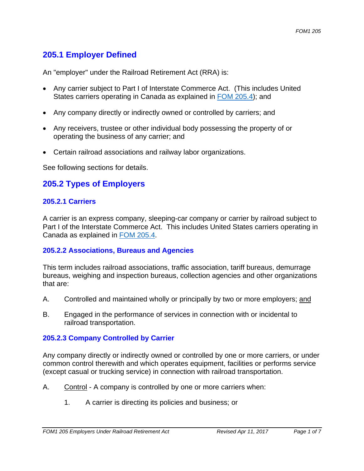## **205.1 Employer Defined**

An "employer" under the Railroad Retirement Act (RRA) is:

- Any carrier subject to Part I of Interstate Commerce Act. (This includes United States carriers operating in Canada as explained in FOM 205.4); and
- Any company directly or indirectly owned or controlled by carriers; and
- Any receivers, trustee or other individual body possessing the property of or operating the business of any carrier; and
- Certain railroad associations and railway labor organizations.

See following sections for details.

## **205.2 Types of Employers**

#### **205.2.1 Carriers**

A carrier is an express company, sleeping-car company or carrier by railroad subject to Part I of the Interstate Commerce Act. This includes United States carriers operating in Canada as explained in FOM 205.4.

#### **205.2.2 Associations, Bureaus and Agencies**

This term includes railroad associations, traffic association, tariff bureaus, demurrage bureaus, weighing and inspection bureaus, collection agencies and other organizations that are:

- A. Controlled and maintained wholly or principally by two or more employers; and
- B. Engaged in the performance of services in connection with or incidental to railroad transportation.

#### **205.2.3 Company Controlled by Carrier**

Any company directly or indirectly owned or controlled by one or more carriers, or under common control therewith and which operates equipment, facilities or performs service (except casual or trucking service) in connection with railroad transportation.

- A. Control A company is controlled by one or more carriers when:
	- 1. A carrier is directing its policies and business; or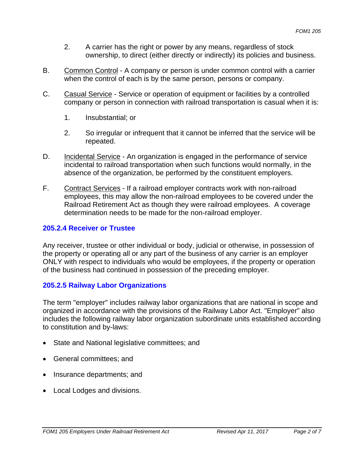- 2. A carrier has the right or power by any means, regardless of stock ownership, to direct (either directly or indirectly) its policies and business.
- B. Common Control A company or person is under common control with a carrier when the control of each is by the same person, persons or company.
- C. Casual Service Service or operation of equipment or facilities by a controlled company or person in connection with railroad transportation is casual when it is:
	- 1. Insubstantial; or
	- 2. So irregular or infrequent that it cannot be inferred that the service will be repeated.
- D. Incidental Service An organization is engaged in the performance of service incidental to railroad transportation when such functions would normally, in the absence of the organization, be performed by the constituent employers.
- F. Contract Services If a railroad employer contracts work with non-railroad employees, this may allow the non-railroad employees to be covered under the Railroad Retirement Act as though they were railroad employees. A coverage determination needs to be made for the non-railroad employer.

#### **205.2.4 Receiver or Trustee**

Any receiver, trustee or other individual or body, judicial or otherwise, in possession of the property or operating all or any part of the business of any carrier is an employer ONLY with respect to individuals who would be employees, if the property or operation of the business had continued in possession of the preceding employer.

#### **205.2.5 Railway Labor Organizations**

The term "employer" includes railway labor organizations that are national in scope and organized in accordance with the provisions of the Railway Labor Act. "Employer" also includes the following railway labor organization subordinate units established according to constitution and by-laws:

- State and National legislative committees; and
- General committees; and
- Insurance departments; and
- Local Lodges and divisions.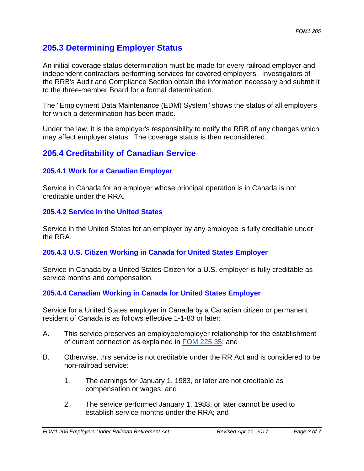### **205.3 Determining Employer Status**

An initial coverage status determination must be made for every railroad employer and independent contractors performing services for covered employers. Investigators of the RRB's Audit and Compliance Section obtain the information necessary and submit it to the three-member Board for a formal determination.

The "Employment Data Maintenance (EDM) System" shows the status of all employers for which a determination has been made.

Under the law, it is the employer's responsibility to notify the RRB of any changes which may affect employer status. The coverage status is then reconsidered.

## **205.4 Creditability of Canadian Service**

#### **205.4.1 Work for a Canadian Employer**

Service in Canada for an employer whose principal operation is in Canada is not creditable under the RRA.

#### **205.4.2 Service in the United States**

Service in the United States for an employer by any employee is fully creditable under the RRA.

#### **205.4.3 U.S. Citizen Working in Canada for United States Employer**

Service in Canada by a United States Citizen for a U.S. employer is fully creditable as service months and compensation.

#### **205.4.4 Canadian Working in Canada for United States Employer**

Service for a United States employer in Canada by a Canadian citizen or permanent resident of Canada is as follows effective 1-1-83 or later:

- A. This service preserves an employee/employer relationship for the establishment of current connection as explained in FOM 225.35; and
- B. Otherwise, this service is not creditable under the RR Act and is considered to be non-railroad service:
	- 1. The earnings for January 1, 1983, or later are not creditable as compensation or wages; and
	- 2. The service performed January 1, 1983, or later cannot be used to establish service months under the RRA; and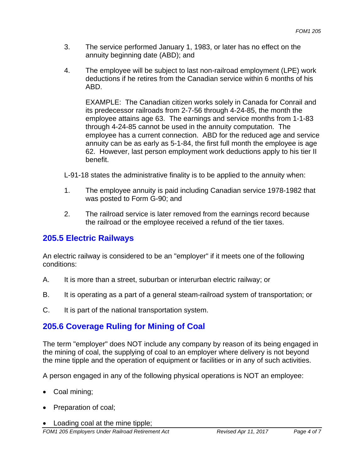- 3. The service performed January 1, 1983, or later has no effect on the annuity beginning date (ABD); and
- 4. The employee will be subject to last non-railroad employment (LPE) work deductions if he retires from the Canadian service within 6 months of his ABD.

EXAMPLE: The Canadian citizen works solely in Canada for Conrail and its predecessor railroads from 2-7-56 through 4-24-85, the month the employee attains age 63. The earnings and service months from 1-1-83 through 4-24-85 cannot be used in the annuity computation. The employee has a current connection. ABD for the reduced age and service annuity can be as early as 5-1-84, the first full month the employee is age 62. However, last person employment work deductions apply to his tier II benefit.

L-91-18 states the administrative finality is to be applied to the annuity when:

- 1. The employee annuity is paid including Canadian service 1978-1982 that was posted to Form G-90; and
- 2. The railroad service is later removed from the earnings record because the railroad or the employee received a refund of the tier taxes.

### **205.5 Electric Railways**

An electric railway is considered to be an "employer" if it meets one of the following conditions:

- A. It is more than a street, suburban or interurban electric railway; or
- B. It is operating as a part of a general steam-railroad system of transportation; or
- C. It is part of the national transportation system.

## **205.6 Coverage Ruling for Mining of Coal**

The term "employer" does NOT include any company by reason of its being engaged in the mining of coal, the supplying of coal to an employer where delivery is not beyond the mine tipple and the operation of equipment or facilities or in any of such activities.

A person engaged in any of the following physical operations is NOT an employee:

- Coal mining;
- Preparation of coal;
- Loading coal at the mine tipple;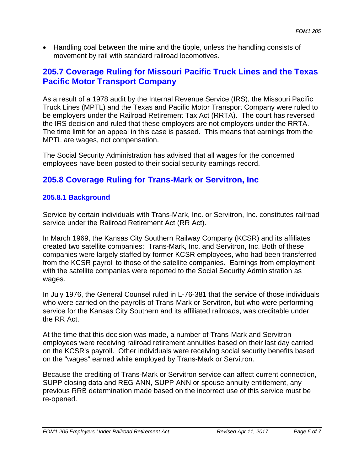Handling coal between the mine and the tipple, unless the handling consists of movement by rail with standard railroad locomotives.

### **205.7 Coverage Ruling for Missouri Pacific Truck Lines and the Texas Pacific Motor Transport Company**

As a result of a 1978 audit by the Internal Revenue Service (IRS), the Missouri Pacific Truck Lines (MPTL) and the Texas and Pacific Motor Transport Company were ruled to be employers under the Railroad Retirement Tax Act (RRTA). The court has reversed the IRS decision and ruled that these employers are not employers under the RRTA. The time limit for an appeal in this case is passed. This means that earnings from the MPTL are wages, not compensation.

The Social Security Administration has advised that all wages for the concerned employees have been posted to their social security earnings record.

### **205.8 Coverage Ruling for Trans-Mark or Servitron, Inc**

#### **205.8.1 Background**

Service by certain individuals with Trans-Mark, Inc. or Servitron, Inc. constitutes railroad service under the Railroad Retirement Act (RR Act).

In March 1969, the Kansas City Southern Railway Company (KCSR) and its affiliates created two satellite companies: Trans-Mark, Inc. and Servitron, Inc. Both of these companies were largely staffed by former KCSR employees, who had been transferred from the KCSR payroll to those of the satellite companies. Earnings from employment with the satellite companies were reported to the Social Security Administration as wages.

In July 1976, the General Counsel ruled in L-76-381 that the service of those individuals who were carried on the payrolls of Trans-Mark or Servitron, but who were performing service for the Kansas City Southern and its affiliated railroads, was creditable under the RR Act.

At the time that this decision was made, a number of Trans-Mark and Servitron employees were receiving railroad retirement annuities based on their last day carried on the KCSR's payroll. Other individuals were receiving social security benefits based on the "wages" earned while employed by Trans-Mark or Servitron.

Because the crediting of Trans-Mark or Servitron service can affect current connection, SUPP closing data and REG ANN, SUPP ANN or spouse annuity entitlement, any previous RRB determination made based on the incorrect use of this service must be re-opened.